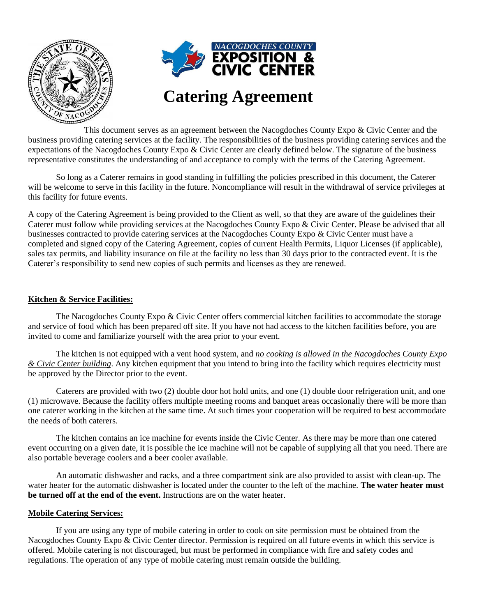

This document serves as an agreement between the Nacogdoches County Expo & Civic Center and the business providing catering services at the facility. The responsibilities of the business providing catering services and the expectations of the Nacogdoches County Expo & Civic Center are clearly defined below. The signature of the business representative constitutes the understanding of and acceptance to comply with the terms of the Catering Agreement.

So long as a Caterer remains in good standing in fulfilling the policies prescribed in this document, the Caterer will be welcome to serve in this facility in the future. Noncompliance will result in the withdrawal of service privileges at this facility for future events.

A copy of the Catering Agreement is being provided to the Client as well, so that they are aware of the guidelines their Caterer must follow while providing services at the Nacogdoches County Expo & Civic Center. Please be advised that all businesses contracted to provide catering services at the Nacogdoches County Expo & Civic Center must have a completed and signed copy of the Catering Agreement, copies of current Health Permits, Liquor Licenses (if applicable), sales tax permits, and liability insurance on file at the facility no less than 30 days prior to the contracted event. It is the Caterer's responsibility to send new copies of such permits and licenses as they are renewed.

#### **Kitchen & Service Facilities:**

The Nacogdoches County Expo & Civic Center offers commercial kitchen facilities to accommodate the storage and service of food which has been prepared off site. If you have not had access to the kitchen facilities before, you are invited to come and familiarize yourself with the area prior to your event.

The kitchen is not equipped with a vent hood system, and *no cooking is allowed in the Nacogdoches County Expo & Civic Center building*. Any kitchen equipment that you intend to bring into the facility which requires electricity must be approved by the Director prior to the event.

Caterers are provided with two (2) double door hot hold units, and one (1) double door refrigeration unit, and one (1) microwave. Because the facility offers multiple meeting rooms and banquet areas occasionally there will be more than one caterer working in the kitchen at the same time. At such times your cooperation will be required to best accommodate the needs of both caterers.

The kitchen contains an ice machine for events inside the Civic Center. As there may be more than one catered event occurring on a given date, it is possible the ice machine will not be capable of supplying all that you need. There are also portable beverage coolers and a beer cooler available.

An automatic dishwasher and racks, and a three compartment sink are also provided to assist with clean-up. The water heater for the automatic dishwasher is located under the counter to the left of the machine. **The water heater must be turned off at the end of the event.** Instructions are on the water heater.

#### **Mobile Catering Services:**

If you are using any type of mobile catering in order to cook on site permission must be obtained from the Nacogdoches County Expo & Civic Center director. Permission is required on all future events in which this service is offered. Mobile catering is not discouraged, but must be performed in compliance with fire and safety codes and regulations. The operation of any type of mobile catering must remain outside the building.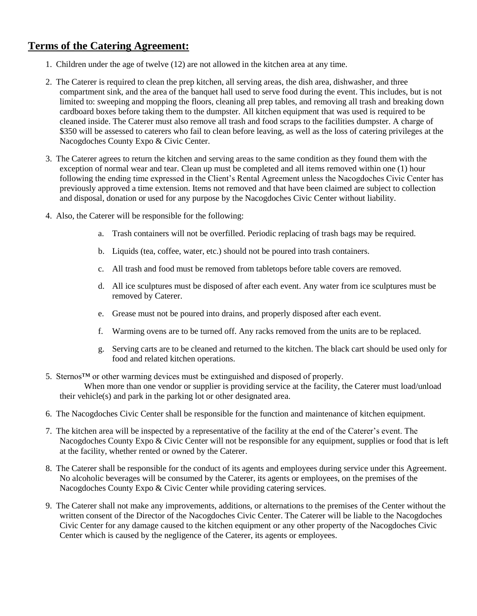# **Terms of the Catering Agreement:**

- 1. Children under the age of twelve (12) are not allowed in the kitchen area at any time.
- 2. The Caterer is required to clean the prep kitchen, all serving areas, the dish area, dishwasher, and three compartment sink, and the area of the banquet hall used to serve food during the event. This includes, but is not limited to: sweeping and mopping the floors, cleaning all prep tables, and removing all trash and breaking down cardboard boxes before taking them to the dumpster. All kitchen equipment that was used is required to be cleaned inside. The Caterer must also remove all trash and food scraps to the facilities dumpster. A charge of \$350 will be assessed to caterers who fail to clean before leaving, as well as the loss of catering privileges at the Nacogdoches County Expo & Civic Center.
- 3. The Caterer agrees to return the kitchen and serving areas to the same condition as they found them with the exception of normal wear and tear. Clean up must be completed and all items removed within one (1) hour following the ending time expressed in the Client's Rental Agreement unless the Nacogdoches Civic Center has previously approved a time extension. Items not removed and that have been claimed are subject to collection and disposal, donation or used for any purpose by the Nacogdoches Civic Center without liability.
- 4. Also, the Caterer will be responsible for the following:
	- a. Trash containers will not be overfilled. Periodic replacing of trash bags may be required.
	- b. Liquids (tea, coffee, water, etc.) should not be poured into trash containers.
	- c. All trash and food must be removed from tabletops before table covers are removed.
	- d. All ice sculptures must be disposed of after each event. Any water from ice sculptures must be removed by Caterer.
	- e. Grease must not be poured into drains, and properly disposed after each event.
	- f. Warming ovens are to be turned off. Any racks removed from the units are to be replaced.
	- g. Serving carts are to be cleaned and returned to the kitchen. The black cart should be used only for food and related kitchen operations.
- 5. Sternos™ or other warming devices must be extinguished and disposed of properly. When more than one vendor or supplier is providing service at the facility, the Caterer must load/unload their vehicle(s) and park in the parking lot or other designated area.
- 6. The Nacogdoches Civic Center shall be responsible for the function and maintenance of kitchen equipment.
- 7. The kitchen area will be inspected by a representative of the facility at the end of the Caterer's event. The Nacogdoches County Expo & Civic Center will not be responsible for any equipment, supplies or food that is left at the facility, whether rented or owned by the Caterer.
- 8. The Caterer shall be responsible for the conduct of its agents and employees during service under this Agreement. No alcoholic beverages will be consumed by the Caterer, its agents or employees, on the premises of the Nacogdoches County Expo & Civic Center while providing catering services.
- 9. The Caterer shall not make any improvements, additions, or alternations to the premises of the Center without the written consent of the Director of the Nacogdoches Civic Center. The Caterer will be liable to the Nacogdoches Civic Center for any damage caused to the kitchen equipment or any other property of the Nacogdoches Civic Center which is caused by the negligence of the Caterer, its agents or employees.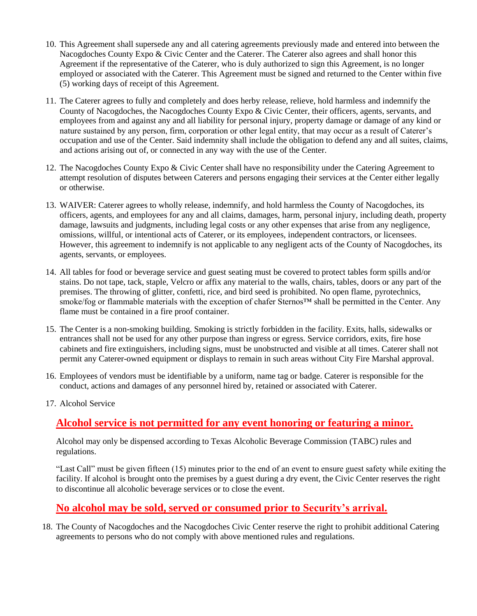- 10. This Agreement shall supersede any and all catering agreements previously made and entered into between the Nacogdoches County Expo & Civic Center and the Caterer. The Caterer also agrees and shall honor this Agreement if the representative of the Caterer, who is duly authorized to sign this Agreement, is no longer employed or associated with the Caterer. This Agreement must be signed and returned to the Center within five (5) working days of receipt of this Agreement.
- 11. The Caterer agrees to fully and completely and does herby release, relieve, hold harmless and indemnify the County of Nacogdoches, the Nacogdoches County Expo & Civic Center, their officers, agents, servants, and employees from and against any and all liability for personal injury, property damage or damage of any kind or nature sustained by any person, firm, corporation or other legal entity, that may occur as a result of Caterer's occupation and use of the Center. Said indemnity shall include the obligation to defend any and all suites, claims, and actions arising out of, or connected in any way with the use of the Center.
- 12. The Nacogdoches County Expo & Civic Center shall have no responsibility under the Catering Agreement to attempt resolution of disputes between Caterers and persons engaging their services at the Center either legally or otherwise.
- 13. WAIVER: Caterer agrees to wholly release, indemnify, and hold harmless the County of Nacogdoches, its officers, agents, and employees for any and all claims, damages, harm, personal injury, including death, property damage, lawsuits and judgments, including legal costs or any other expenses that arise from any negligence, omissions, willful, or intentional acts of Caterer, or its employees, independent contractors, or licensees. However, this agreement to indemnify is not applicable to any negligent acts of the County of Nacogdoches, its agents, servants, or employees.
- 14. All tables for food or beverage service and guest seating must be covered to protect tables form spills and/or stains. Do not tape, tack, staple, Velcro or affix any material to the walls, chairs, tables, doors or any part of the premises. The throwing of glitter, confetti, rice, and bird seed is prohibited. No open flame, pyrotechnics, smoke/fog or flammable materials with the exception of chafer Sternos™ shall be permitted in the Center. Any flame must be contained in a fire proof container.
- 15. The Center is a non-smoking building. Smoking is strictly forbidden in the facility. Exits, halls, sidewalks or entrances shall not be used for any other purpose than ingress or egress. Service corridors, exits, fire hose cabinets and fire extinguishers, including signs, must be unobstructed and visible at all times. Caterer shall not permit any Caterer-owned equipment or displays to remain in such areas without City Fire Marshal approval.
- 16. Employees of vendors must be identifiable by a uniform, name tag or badge. Caterer is responsible for the conduct, actions and damages of any personnel hired by, retained or associated with Caterer.
- 17. Alcohol Service

# **Alcohol service is not permitted for any event honoring or featuring a minor.**

Alcohol may only be dispensed according to Texas Alcoholic Beverage Commission (TABC) rules and regulations.

"Last Call" must be given fifteen (15) minutes prior to the end of an event to ensure guest safety while exiting the facility. If alcohol is brought onto the premises by a guest during a dry event, the Civic Center reserves the right to discontinue all alcoholic beverage services or to close the event.

# **No alcohol may be sold, served or consumed prior to Security's arrival.**

18. The County of Nacogdoches and the Nacogdoches Civic Center reserve the right to prohibit additional Catering agreements to persons who do not comply with above mentioned rules and regulations.